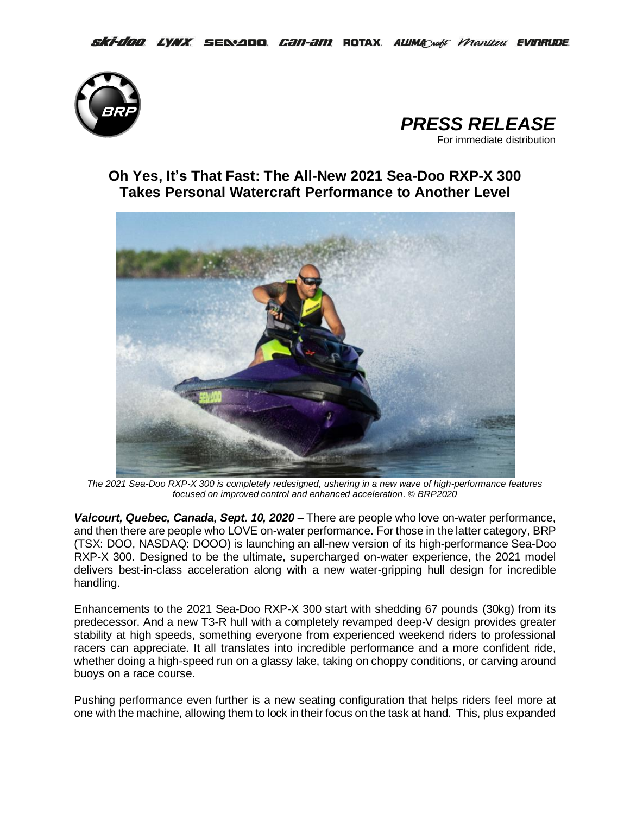



## **Oh Yes, It's That Fast: The All-New 2021 Sea-Doo RXP-X 300 Takes Personal Watercraft Performance to Another Level**



*The 2021 Sea-Doo RXP-X 300 is completely redesigned, ushering in a new wave of high-performance features focused on improved control and enhanced acceleration. © BRP2020*

*Valcourt, Quebec, Canada, Sept. 10, 2020* – There are people who love on-water performance, and then there are people who LOVE on-water performance. For those in the latter category, BRP (TSX: DOO, NASDAQ: DOOO) is launching an all-new version of its high-performance Sea-Doo RXP-X 300. Designed to be the ultimate, supercharged on-water experience, the 2021 model delivers best-in-class acceleration along with a new water-gripping hull design for incredible handling.

Enhancements to the 2021 Sea-Doo RXP-X 300 start with shedding 67 pounds (30kg) from its predecessor. And a new T3-R hull with a completely revamped deep-V design provides greater stability at high speeds, something everyone from experienced weekend riders to professional racers can appreciate. It all translates into incredible performance and a more confident ride, whether doing a high-speed run on a glassy lake, taking on choppy conditions, or carving around buoys on a race course.

Pushing performance even further is a new seating configuration that helps riders feel more at one with the machine, allowing them to lock in their focus on the task at hand. This, plus expanded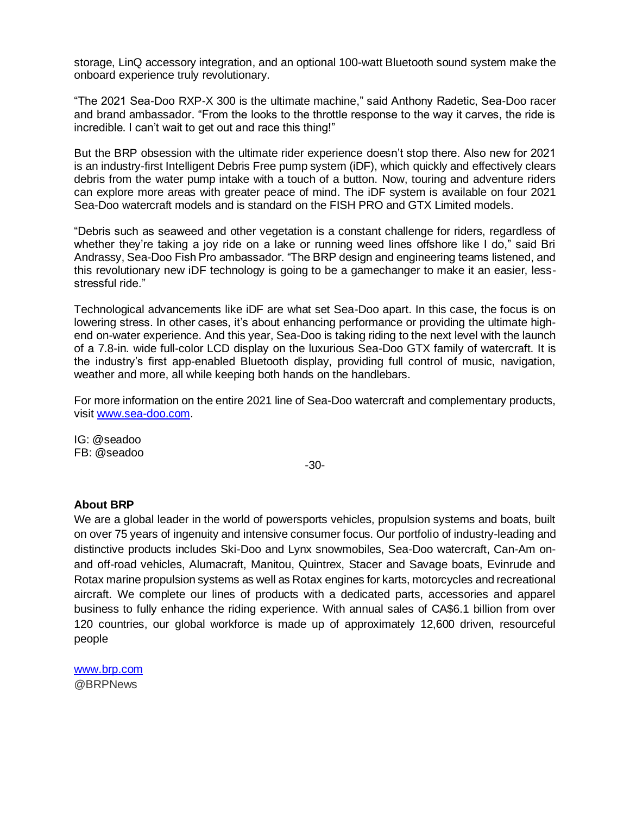storage, LinQ accessory integration, and an optional 100-watt Bluetooth sound system make the onboard experience truly revolutionary.

"The 2021 Sea-Doo RXP-X 300 is the ultimate machine," said Anthony Radetic, Sea-Doo racer and brand ambassador. "From the looks to the throttle response to the way it carves, the ride is incredible. I can't wait to get out and race this thing!"

But the BRP obsession with the ultimate rider experience doesn't stop there. Also new for 2021 is an industry-first Intelligent Debris Free pump system (iDF), which quickly and effectively clears debris from the water pump intake with a touch of a button. Now, touring and adventure riders can explore more areas with greater peace of mind. The iDF system is available on four 2021 Sea-Doo watercraft models and is standard on the FISH PRO and GTX Limited models.

"Debris such as seaweed and other vegetation is a constant challenge for riders, regardless of whether they're taking a joy ride on a lake or running weed lines offshore like I do," said Bri Andrassy, Sea-Doo Fish Pro ambassador. "The BRP design and engineering teams listened, and this revolutionary new iDF technology is going to be a gamechanger to make it an easier, lessstressful ride."

Technological advancements like iDF are what set Sea-Doo apart. In this case, the focus is on lowering stress. In other cases, it's about enhancing performance or providing the ultimate highend on-water experience. And this year, Sea-Doo is taking riding to the next level with the launch of a 7.8-in. wide full-color LCD display on the luxurious Sea-Doo GTX family of watercraft. It is the industry's first app-enabled Bluetooth display, providing full control of music, navigation, weather and more, all while keeping both hands on the handlebars.

For more information on the entire 2021 line of Sea-Doo watercraft and complementary products, visit [www.sea-doo.com.](http://www.sea-doo.com/)

IG: @seadoo FB: @seadoo

-30-

## **About BRP**

We are a global leader in the world of powersports vehicles, propulsion systems and boats, built on over 75 years of ingenuity and intensive consumer focus. Our portfolio of industry-leading and distinctive products includes Ski-Doo and Lynx snowmobiles, Sea-Doo watercraft, Can-Am onand off-road vehicles, Alumacraft, Manitou, Quintrex, Stacer and Savage boats, Evinrude and Rotax marine propulsion systems as well as Rotax engines for karts, motorcycles and recreational aircraft. We complete our lines of products with a dedicated parts, accessories and apparel business to fully enhance the riding experience. With annual sales of CA\$6.1 billion from over 120 countries, our global workforce is made up of approximately 12,600 driven, resourceful people

[www.brp.com](http://www.brp.com/) @BRPNews